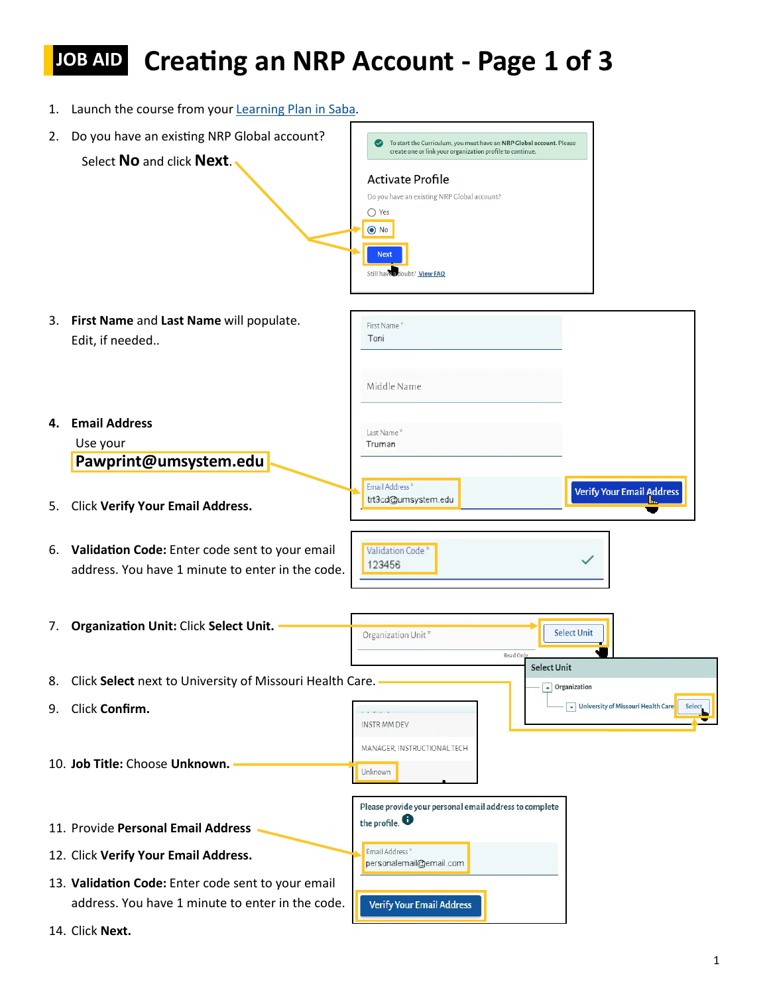## **JOB AID Creating an NRP Account - Page 1 of 3**

1. Launch the course from your [Learning Plan in Saba.](http://missouri.sabacloud.com/)

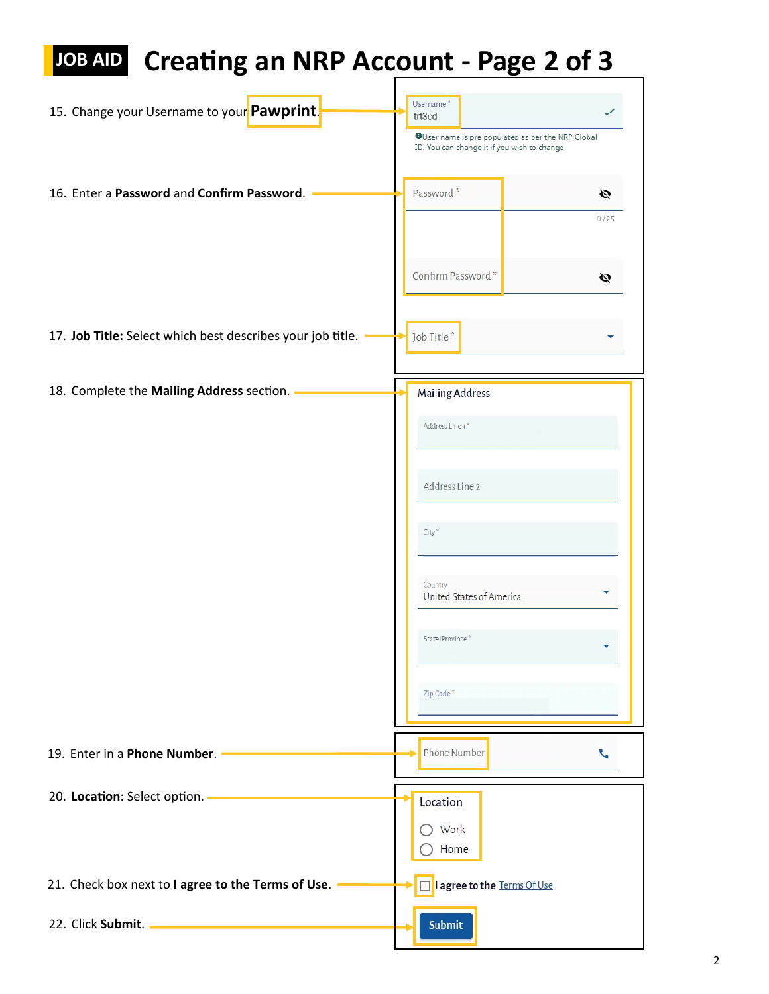## **JOB AID Creating an NRP Account - Page 2 of 3**

| 15. Change your Username to your Pawprint.                 | Username <sup>*</sup><br>trt3cd                                                                  |
|------------------------------------------------------------|--------------------------------------------------------------------------------------------------|
|                                                            | OUser name is pre populated as per the NRP Global<br>ID. You can change it if you wish to change |
| 16. Enter a Password and Confirm Password.                 | Password*<br>Ø                                                                                   |
|                                                            | 0/25                                                                                             |
|                                                            | Confirm Password*<br>Ø                                                                           |
| 17. Job Title: Select which best describes your job title. | Job Title*                                                                                       |
| 18. Complete the Mailing Address section.                  | <b>Mailing Address</b>                                                                           |
|                                                            | Address Line 1*                                                                                  |
|                                                            | Address Line 2                                                                                   |
|                                                            | City <sup>®</sup>                                                                                |
|                                                            | Country                                                                                          |
|                                                            | United States of America                                                                         |
|                                                            | State/Province*                                                                                  |
|                                                            | Zip Code*                                                                                        |
| 19. Enter in a Phone Number.                               | Phone Number                                                                                     |
|                                                            |                                                                                                  |
| 20. Location: Select option. <b>- All Accords</b>          | Location                                                                                         |
|                                                            | Work<br>Home                                                                                     |
| 21. Check box next to I agree to the Terms of Use.         | I agree to the Terms Of Use                                                                      |
| 22. Click Submit.                                          | Submit                                                                                           |